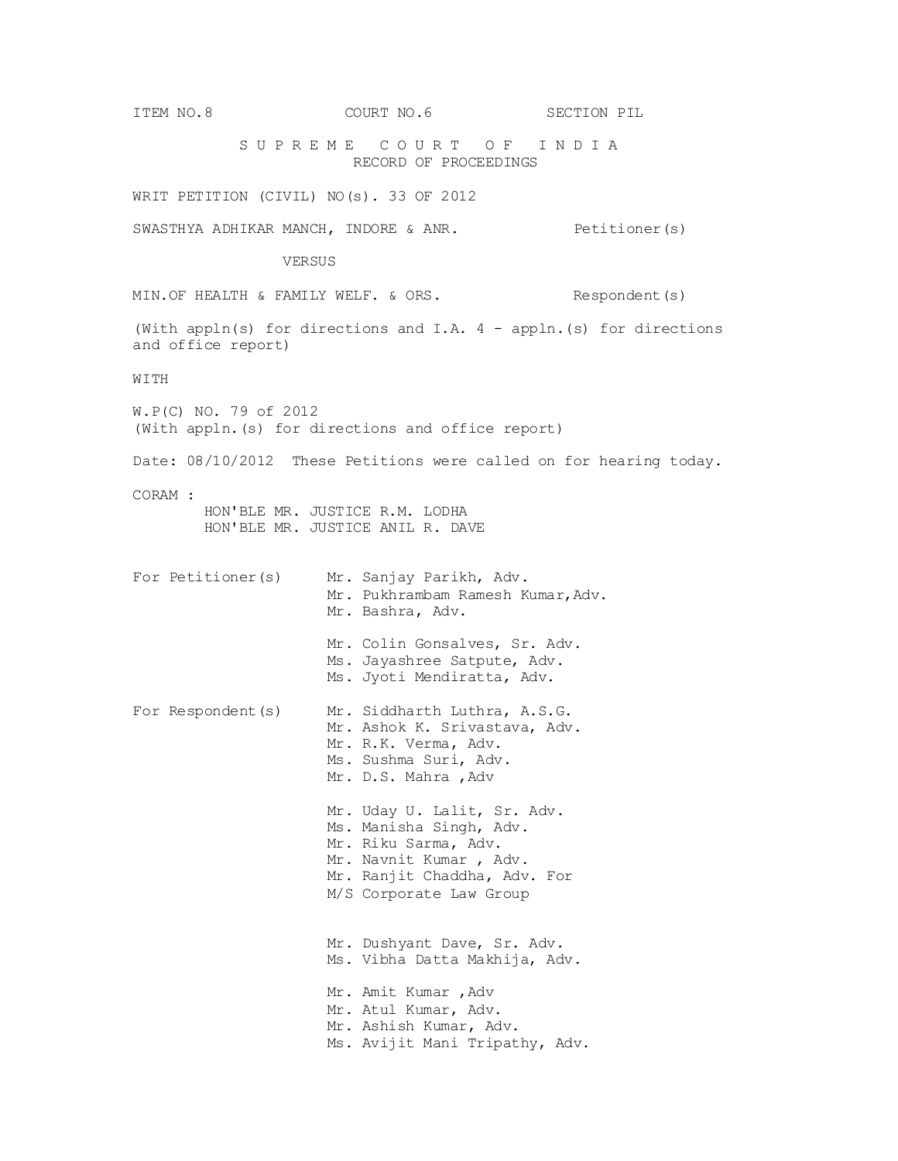ITEM NO.8 COURT NO.6 SECTION PIL S U P R E M E C O U R T O F I N D I A RECORD OF PROCEEDINGS WRIT PETITION (CIVIL) NO(s). 33 OF 2012 SWASTHYA ADHIKAR MANCH, INDORE & ANR. Petitioner(s) VERSUS MIN. OF HEALTH & FAMILY WELF. & ORS. Respondent(s) (With appln(s) for directions and I.A. 4 - appln.(s) for directions and office report) WITH W.P(C) NO. 79 of 2012 (With appln.(s) for directions and office report) Date: 08/10/2012 These Petitions were called on for hearing today. CORAM : HON'BLE MR. JUSTICE R.M. LODHA HON'BLE MR. JUSTICE ANIL R. DAVE For Petitioner(s) Mr. Sanjay Parikh, Adv. Mr. Pukhrambam Ramesh Kumar, Adv. Mr. Bashra, Adv. Mr. Colin Gonsalves, Sr. Adv. Ms. Jayashree Satpute, Adv. Ms. Jyoti Mendiratta, Adv. For Respondent(s) Mr. Siddharth Luthra, A.S.G. Mr. Ashok K. Srivastava, Adv. Mr. R.K. Verma, Adv. Ms. Sushma Suri, Adv. Mr. D.S. Mahra , Adv Mr. Uday U. Lalit, Sr. Adv. Ms. Manisha Singh, Adv. Mr. Riku Sarma, Adv. Mr. Navnit Kumar , Adv. Mr. Ranjit Chaddha, Adv. For M/S Corporate Law Group Mr. Dushyant Dave, Sr. Adv. Ms. Vibha Datta Makhija, Adv. Mr. Amit Kumar ,Adv Mr. Atul Kumar, Adv. Mr. Ashish Kumar, Adv. Ms. Avijit Mani Tripathy, Adv.